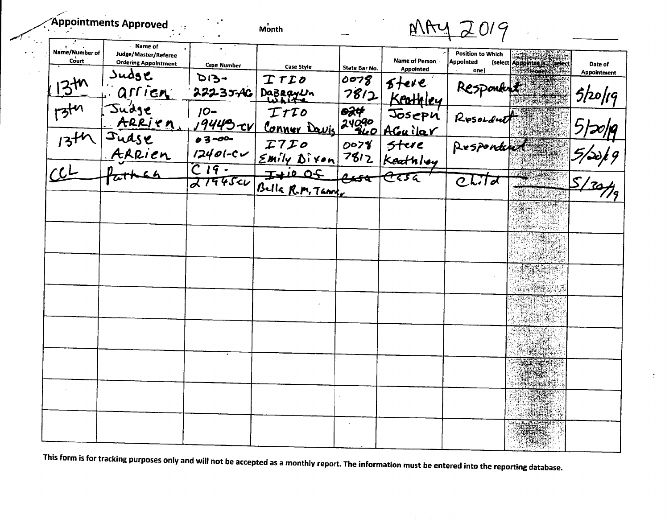|  |  | Appointments Approved |  |  |
|--|--|-----------------------|--|--|
|  |  |                       |  |  |
|  |  |                       |  |  |

Month

MAY 2019

 $\mathcal{L}$ 

| Name/Number of<br>Court | Name of<br>Judge/Master/Referee<br><b>Ordering Appointment</b> |                            |                                 |                                   | Name of Person          | <b>Position to Which</b><br><b>Appointed</b> | (select Appointee Is : (select | Date of                                             |
|-------------------------|----------------------------------------------------------------|----------------------------|---------------------------------|-----------------------------------|-------------------------|----------------------------------------------|--------------------------------|-----------------------------------------------------|
|                         | Sudge                                                          | <b>Case Number</b><br>-זוס | <b>Case Style</b>               | State Bar No.<br>0078             | <b>Appointed</b>        | one)                                         | <b>Frone</b> Decessor          | <b>Appointment</b>                                  |
|                         | arrien                                                         | 22235AC                    | TTID<br>Dazeauin                | 7812                              | $5$ tere<br>Keathley    |                                              |                                | 5/20/19                                             |
| $\frac{1}{1}$           | Judge<br>ARRIEN                                                | $10-$<br>19449-cv          | ITTO<br><u>Conner Davis</u>     | <del>024</del><br>240,000<br>BL O | Joseph                  | Respondent                                   |                                | $\overline{\phantom{a}}$ . $\overline{\phantom{a}}$ |
| $13 + 4$                | Judse<br>ARRien                                                | $03 -00 -$<br>$12401-c$    | I7I0                            | 0078                              | AGuilar<br><b>Stere</b> | Respondent                                   |                                |                                                     |
| $\overline{CL}$         |                                                                | $C19-$                     | $\sum min \sim 1$               | 7812                              | Keathley                |                                              |                                |                                                     |
|                         |                                                                | 27945c                     | $7 + 1005$<br>Bulla R.M. Tanner |                                   | <u> स्टाद</u>           | $CL$ Td                                      |                                | 7120µ9<br>51.70H                                    |
|                         |                                                                |                            |                                 |                                   |                         |                                              |                                |                                                     |
|                         |                                                                |                            |                                 |                                   |                         |                                              |                                |                                                     |
|                         |                                                                |                            |                                 |                                   |                         |                                              |                                |                                                     |
|                         |                                                                |                            |                                 |                                   |                         |                                              |                                |                                                     |
|                         |                                                                |                            |                                 |                                   |                         |                                              |                                |                                                     |
|                         |                                                                |                            |                                 |                                   |                         |                                              |                                |                                                     |
|                         |                                                                |                            |                                 |                                   |                         |                                              |                                |                                                     |
|                         |                                                                |                            |                                 |                                   |                         |                                              |                                |                                                     |
|                         |                                                                |                            |                                 |                                   |                         |                                              |                                |                                                     |

This form is for tracking purposes only and will not be accepted as a monthly report. The information must be entered into the reporting database.